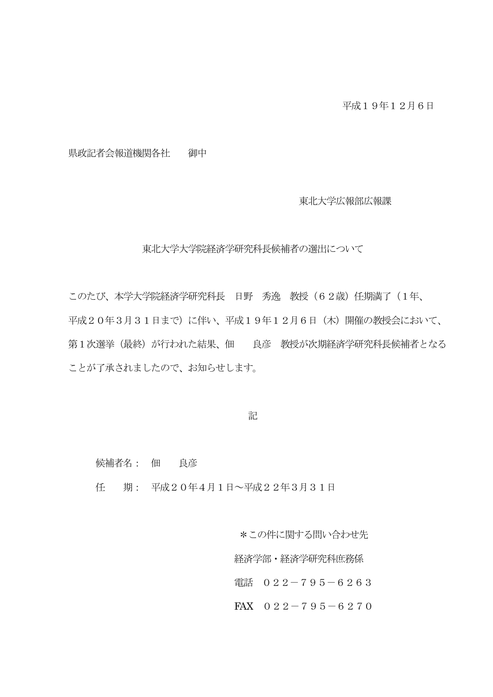県政記者会報道機関各社 御中

東北大学広報部広報課

東北大学大学院経済学研究科長候補者の選出について

このたび、本学大学院経済学研究科長 日野 秀逸 教授(62歳)任期満了(1年、 平成20年3月31日まで)に伴い、平成19年12月6日(木)開催の教授会において、 第1次選挙(最終)が行われた結果、佃 良彦 教授が次期経済学研究科長候補者となる ことが了承されましたので、お知らせします。

記

候補者名: 佃 良彦

任 期: 平成20年4月1日~平成22年3月31日

\*この件に関する問い合わせ先

経済学部・経済学研究科庶務係

電話 022-795-6263

FAX  $022-795-6270$